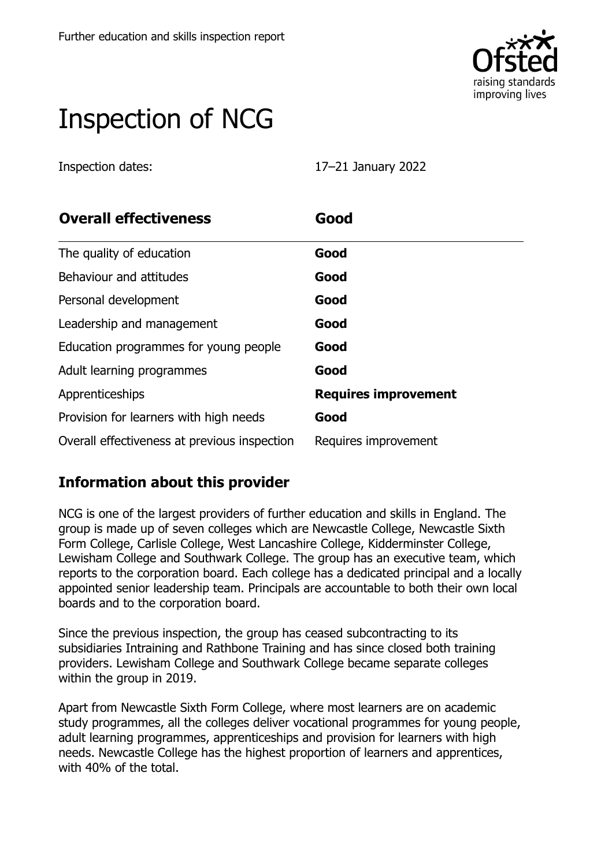

# Inspection of NCG

Inspection dates: 17–21 January 2022

| <b>Overall effectiveness</b>                 | Good                        |
|----------------------------------------------|-----------------------------|
| The quality of education                     | Good                        |
| Behaviour and attitudes                      | Good                        |
| Personal development                         | Good                        |
| Leadership and management                    | Good                        |
| Education programmes for young people        | Good                        |
| Adult learning programmes                    | Good                        |
| Apprenticeships                              | <b>Requires improvement</b> |
| Provision for learners with high needs       | Good                        |
| Overall effectiveness at previous inspection | Requires improvement        |

### **Information about this provider**

NCG is one of the largest providers of further education and skills in England. The group is made up of seven colleges which are Newcastle College, Newcastle Sixth Form College, Carlisle College, West Lancashire College, Kidderminster College, Lewisham College and Southwark College. The group has an executive team, which reports to the corporation board. Each college has a dedicated principal and a locally appointed senior leadership team. Principals are accountable to both their own local boards and to the corporation board.

Since the previous inspection, the group has ceased subcontracting to its subsidiaries Intraining and Rathbone Training and has since closed both training providers. Lewisham College and Southwark College became separate colleges within the group in 2019.

Apart from Newcastle Sixth Form College, where most learners are on academic study programmes, all the colleges deliver vocational programmes for young people, adult learning programmes, apprenticeships and provision for learners with high needs. Newcastle College has the highest proportion of learners and apprentices, with 40% of the total.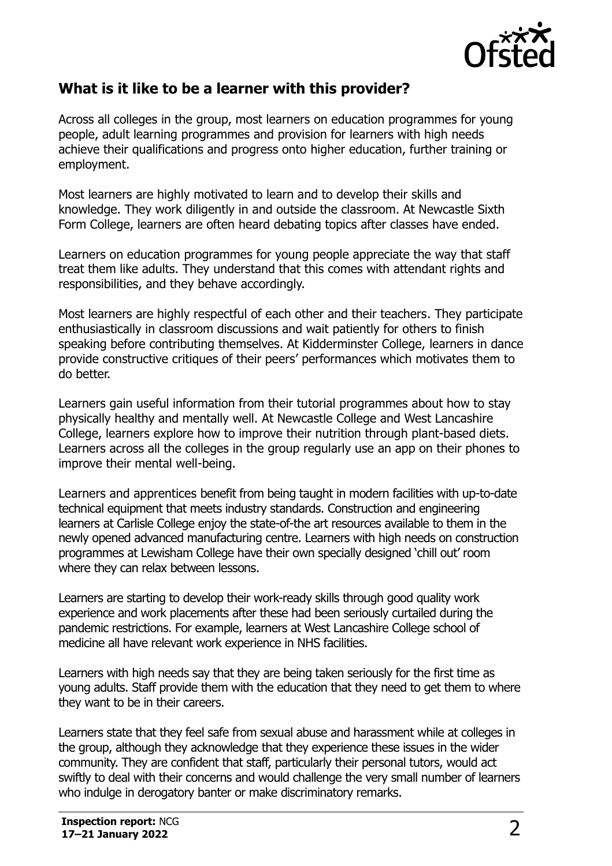

#### **What is it like to be a learner with this provider?**

Across all colleges in the group, most learners on education programmes for young people, adult learning programmes and provision for learners with high needs achieve their qualifications and progress onto higher education, further training or employment.

Most learners are highly motivated to learn and to develop their skills and knowledge. They work diligently in and outside the classroom. At Newcastle Sixth Form College, learners are often heard debating topics after classes have ended.

Learners on education programmes for young people appreciate the way that staff treat them like adults. They understand that this comes with attendant rights and responsibilities, and they behave accordingly.

Most learners are highly respectful of each other and their teachers. They participate enthusiastically in classroom discussions and wait patiently for others to finish speaking before contributing themselves. At Kidderminster College, learners in dance provide constructive critiques of their peers' performances which motivates them to do better.

Learners gain useful information from their tutorial programmes about how to stay physically healthy and mentally well. At Newcastle College and West Lancashire College, learners explore how to improve their nutrition through plant-based diets. Learners across all the colleges in the group regularly use an app on their phones to improve their mental well-being.

Learners and apprentices benefit from being taught in modern facilities with up-to-date technical equipment that meets industry standards. Construction and engineering learners at Carlisle College enjoy the state-of-the art resources available to them in the newly opened advanced manufacturing centre. Learners with high needs on construction programmes at Lewisham College have their own specially designed 'chill out' room where they can relax between lessons.

Learners are starting to develop their work-ready skills through good quality work experience and work placements after these had been seriously curtailed during the pandemic restrictions. For example, learners at West Lancashire College school of medicine all have relevant work experience in NHS facilities.

Learners with high needs say that they are being taken seriously for the first time as young adults. Staff provide them with the education that they need to get them to where they want to be in their careers.

Learners state that they feel safe from sexual abuse and harassment while at colleges in the group, although they acknowledge that they experience these issues in the wider community. They are confident that staff, particularly their personal tutors, would act swiftly to deal with their concerns and would challenge the very small number of learners who indulge in derogatory banter or make discriminatory remarks.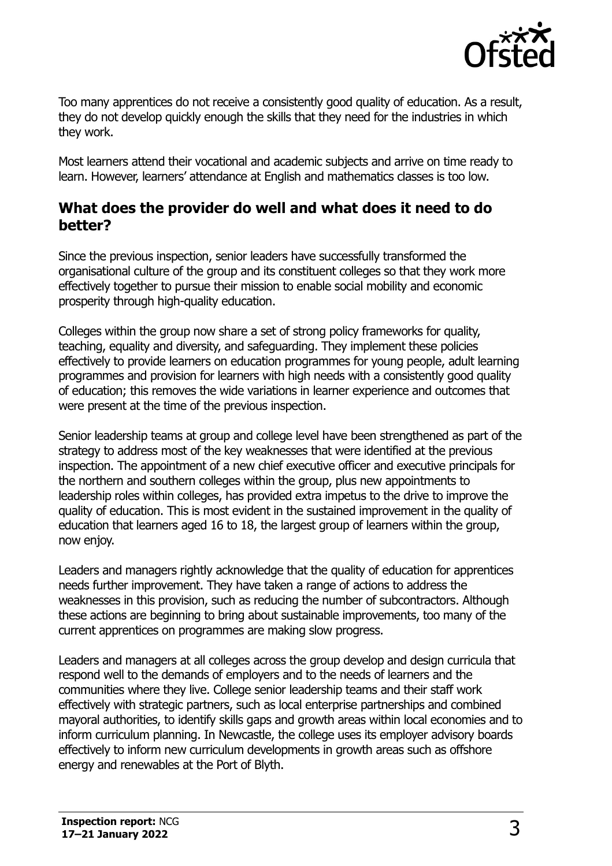

Too many apprentices do not receive a consistently good quality of education. As a result, they do not develop quickly enough the skills that they need for the industries in which they work.

Most learners attend their vocational and academic subjects and arrive on time ready to learn. However, learners' attendance at English and mathematics classes is too low.

#### **What does the provider do well and what does it need to do better?**

Since the previous inspection, senior leaders have successfully transformed the organisational culture of the group and its constituent colleges so that they work more effectively together to pursue their mission to enable social mobility and economic prosperity through high-quality education.

Colleges within the group now share a set of strong policy frameworks for quality, teaching, equality and diversity, and safeguarding. They implement these policies effectively to provide learners on education programmes for young people, adult learning programmes and provision for learners with high needs with a consistently good quality of education; this removes the wide variations in learner experience and outcomes that were present at the time of the previous inspection.

Senior leadership teams at group and college level have been strengthened as part of the strategy to address most of the key weaknesses that were identified at the previous inspection. The appointment of a new chief executive officer and executive principals for the northern and southern colleges within the group, plus new appointments to leadership roles within colleges, has provided extra impetus to the drive to improve the quality of education. This is most evident in the sustained improvement in the quality of education that learners aged 16 to 18, the largest group of learners within the group, now enjoy.

Leaders and managers rightly acknowledge that the quality of education for apprentices needs further improvement. They have taken a range of actions to address the weaknesses in this provision, such as reducing the number of subcontractors. Although these actions are beginning to bring about sustainable improvements, too many of the current apprentices on programmes are making slow progress.

Leaders and managers at all colleges across the group develop and design curricula that respond well to the demands of employers and to the needs of learners and the communities where they live. College senior leadership teams and their staff work effectively with strategic partners, such as local enterprise partnerships and combined mayoral authorities, to identify skills gaps and growth areas within local economies and to inform curriculum planning. In Newcastle, the college uses its employer advisory boards effectively to inform new curriculum developments in growth areas such as offshore energy and renewables at the Port of Blyth.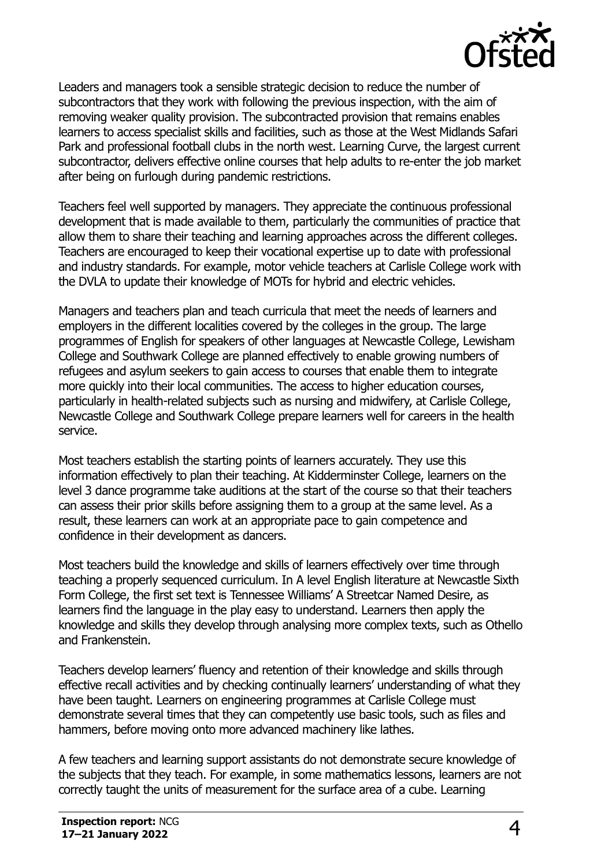

Leaders and managers took a sensible strategic decision to reduce the number of subcontractors that they work with following the previous inspection, with the aim of removing weaker quality provision. The subcontracted provision that remains enables learners to access specialist skills and facilities, such as those at the West Midlands Safari Park and professional football clubs in the north west. Learning Curve, the largest current subcontractor, delivers effective online courses that help adults to re-enter the job market after being on furlough during pandemic restrictions.

Teachers feel well supported by managers. They appreciate the continuous professional development that is made available to them, particularly the communities of practice that allow them to share their teaching and learning approaches across the different colleges. Teachers are encouraged to keep their vocational expertise up to date with professional and industry standards. For example, motor vehicle teachers at Carlisle College work with the DVLA to update their knowledge of MOTs for hybrid and electric vehicles.

Managers and teachers plan and teach curricula that meet the needs of learners and employers in the different localities covered by the colleges in the group. The large programmes of English for speakers of other languages at Newcastle College, Lewisham College and Southwark College are planned effectively to enable growing numbers of refugees and asylum seekers to gain access to courses that enable them to integrate more quickly into their local communities. The access to higher education courses, particularly in health-related subjects such as nursing and midwifery, at Carlisle College, Newcastle College and Southwark College prepare learners well for careers in the health service.

Most teachers establish the starting points of learners accurately. They use this information effectively to plan their teaching. At Kidderminster College, learners on the level 3 dance programme take auditions at the start of the course so that their teachers can assess their prior skills before assigning them to a group at the same level. As a result, these learners can work at an appropriate pace to gain competence and confidence in their development as dancers.

Most teachers build the knowledge and skills of learners effectively over time through teaching a properly sequenced curriculum. In A level English literature at Newcastle Sixth Form College, the first set text is Tennessee Williams' A Streetcar Named Desire, as learners find the language in the play easy to understand. Learners then apply the knowledge and skills they develop through analysing more complex texts, such as Othello and Frankenstein.

Teachers develop learners' fluency and retention of their knowledge and skills through effective recall activities and by checking continually learners' understanding of what they have been taught. Learners on engineering programmes at Carlisle College must demonstrate several times that they can competently use basic tools, such as files and hammers, before moving onto more advanced machinery like lathes.

A few teachers and learning support assistants do not demonstrate secure knowledge of the subjects that they teach. For example, in some mathematics lessons, learners are not correctly taught the units of measurement for the surface area of a cube. Learning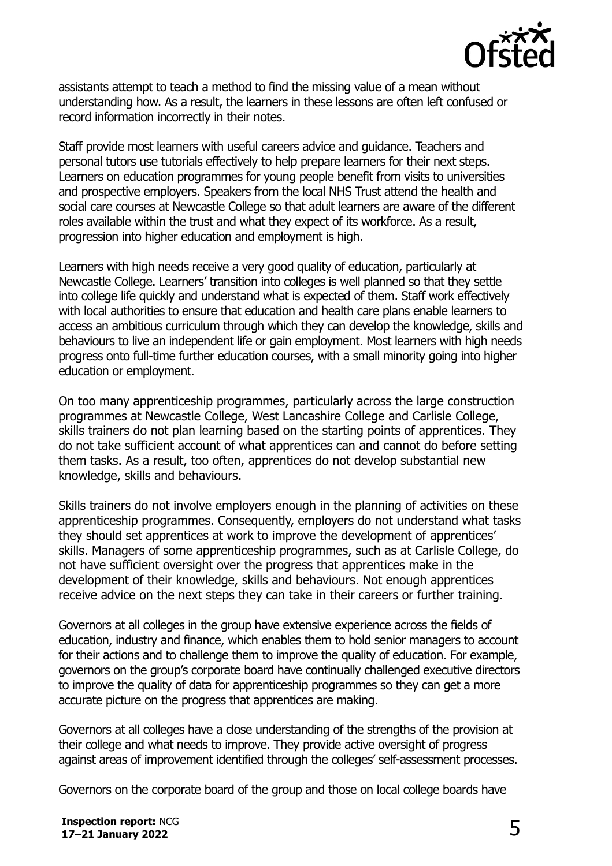

assistants attempt to teach a method to find the missing value of a mean without understanding how. As a result, the learners in these lessons are often left confused or record information incorrectly in their notes.

Staff provide most learners with useful careers advice and guidance. Teachers and personal tutors use tutorials effectively to help prepare learners for their next steps. Learners on education programmes for young people benefit from visits to universities and prospective employers. Speakers from the local NHS Trust attend the health and social care courses at Newcastle College so that adult learners are aware of the different roles available within the trust and what they expect of its workforce. As a result, progression into higher education and employment is high.

Learners with high needs receive a very good quality of education, particularly at Newcastle College. Learners' transition into colleges is well planned so that they settle into college life quickly and understand what is expected of them. Staff work effectively with local authorities to ensure that education and health care plans enable learners to access an ambitious curriculum through which they can develop the knowledge, skills and behaviours to live an independent life or gain employment. Most learners with high needs progress onto full-time further education courses, with a small minority going into higher education or employment.

On too many apprenticeship programmes, particularly across the large construction programmes at Newcastle College, West Lancashire College and Carlisle College, skills trainers do not plan learning based on the starting points of apprentices. They do not take sufficient account of what apprentices can and cannot do before setting them tasks. As a result, too often, apprentices do not develop substantial new knowledge, skills and behaviours.

Skills trainers do not involve employers enough in the planning of activities on these apprenticeship programmes. Consequently, employers do not understand what tasks they should set apprentices at work to improve the development of apprentices' skills. Managers of some apprenticeship programmes, such as at Carlisle College, do not have sufficient oversight over the progress that apprentices make in the development of their knowledge, skills and behaviours. Not enough apprentices receive advice on the next steps they can take in their careers or further training.

Governors at all colleges in the group have extensive experience across the fields of education, industry and finance, which enables them to hold senior managers to account for their actions and to challenge them to improve the quality of education. For example, governors on the group's corporate board have continually challenged executive directors to improve the quality of data for apprenticeship programmes so they can get a more accurate picture on the progress that apprentices are making.

Governors at all colleges have a close understanding of the strengths of the provision at their college and what needs to improve. They provide active oversight of progress against areas of improvement identified through the colleges' self-assessment processes.

Governors on the corporate board of the group and those on local college boards have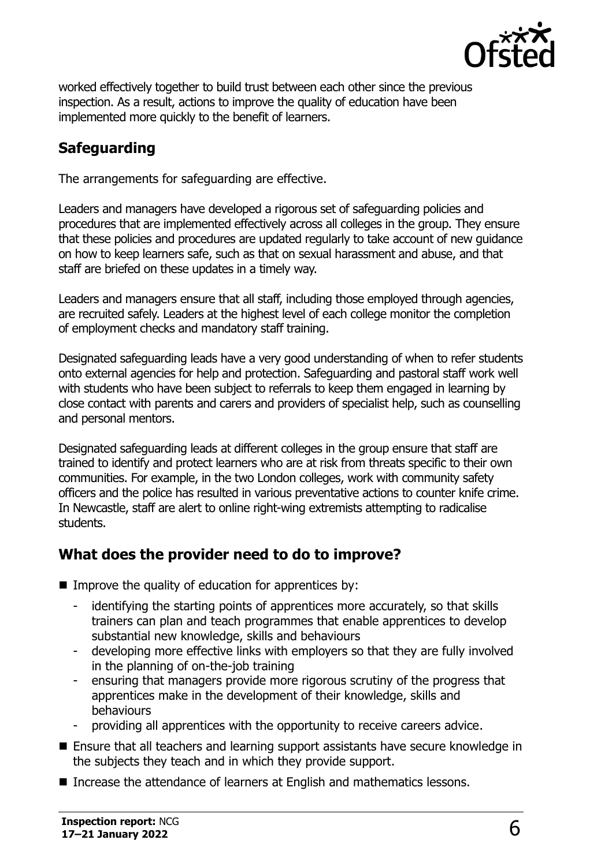

worked effectively together to build trust between each other since the previous inspection. As a result, actions to improve the quality of education have been implemented more quickly to the benefit of learners.

## **Safeguarding**

The arrangements for safeguarding are effective.

Leaders and managers have developed a rigorous set of safeguarding policies and procedures that are implemented effectively across all colleges in the group. They ensure that these policies and procedures are updated regularly to take account of new guidance on how to keep learners safe, such as that on sexual harassment and abuse, and that staff are briefed on these updates in a timely way.

Leaders and managers ensure that all staff, including those employed through agencies, are recruited safely. Leaders at the highest level of each college monitor the completion of employment checks and mandatory staff training.

Designated safeguarding leads have a very good understanding of when to refer students onto external agencies for help and protection. Safeguarding and pastoral staff work well with students who have been subject to referrals to keep them engaged in learning by close contact with parents and carers and providers of specialist help, such as counselling and personal mentors.

Designated safeguarding leads at different colleges in the group ensure that staff are trained to identify and protect learners who are at risk from threats specific to their own communities. For example, in the two London colleges, work with community safety officers and the police has resulted in various preventative actions to counter knife crime. In Newcastle, staff are alert to online right-wing extremists attempting to radicalise students.

### **What does the provider need to do to improve?**

- Improve the quality of education for apprentices by:
	- identifying the starting points of apprentices more accurately, so that skills trainers can plan and teach programmes that enable apprentices to develop substantial new knowledge, skills and behaviours
	- developing more effective links with employers so that they are fully involved in the planning of on-the-job training
	- ensuring that managers provide more rigorous scrutiny of the progress that apprentices make in the development of their knowledge, skills and behaviours
	- providing all apprentices with the opportunity to receive careers advice.
- Ensure that all teachers and learning support assistants have secure knowledge in the subjects they teach and in which they provide support.
- Increase the attendance of learners at English and mathematics lessons.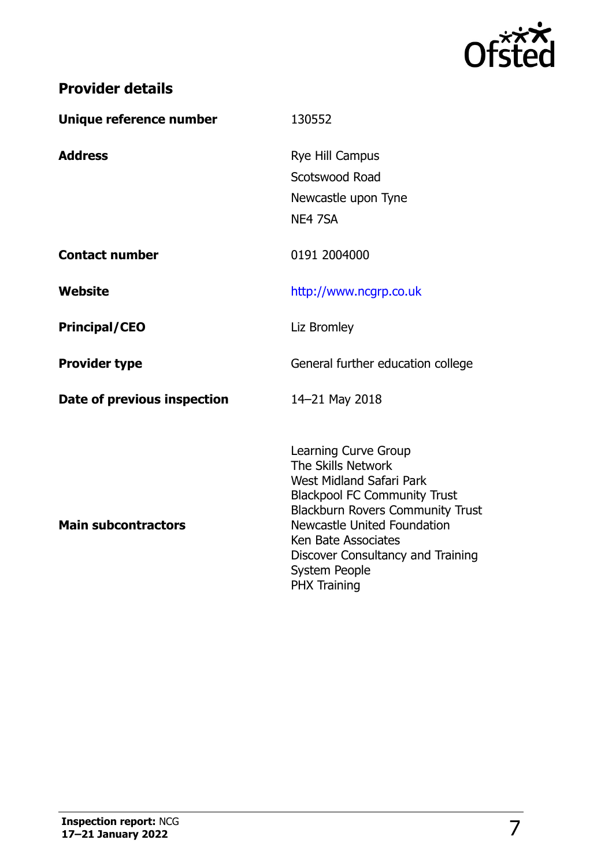

# **Provider details**

| Unique reference number     | 130552                                                                                                                                                                                                                                                                                             |
|-----------------------------|----------------------------------------------------------------------------------------------------------------------------------------------------------------------------------------------------------------------------------------------------------------------------------------------------|
| <b>Address</b>              | Rye Hill Campus<br>Scotswood Road<br>Newcastle upon Tyne<br>NE4 7SA                                                                                                                                                                                                                                |
| <b>Contact number</b>       | 0191 2004000                                                                                                                                                                                                                                                                                       |
| Website                     | http://www.ncgrp.co.uk                                                                                                                                                                                                                                                                             |
| <b>Principal/CEO</b>        | Liz Bromley                                                                                                                                                                                                                                                                                        |
| <b>Provider type</b>        | General further education college                                                                                                                                                                                                                                                                  |
| Date of previous inspection | 14-21 May 2018                                                                                                                                                                                                                                                                                     |
| <b>Main subcontractors</b>  | Learning Curve Group<br>The Skills Network<br>West Midland Safari Park<br><b>Blackpool FC Community Trust</b><br><b>Blackburn Rovers Community Trust</b><br>Newcastle United Foundation<br>Ken Bate Associates<br>Discover Consultancy and Training<br><b>System People</b><br><b>PHX Training</b> |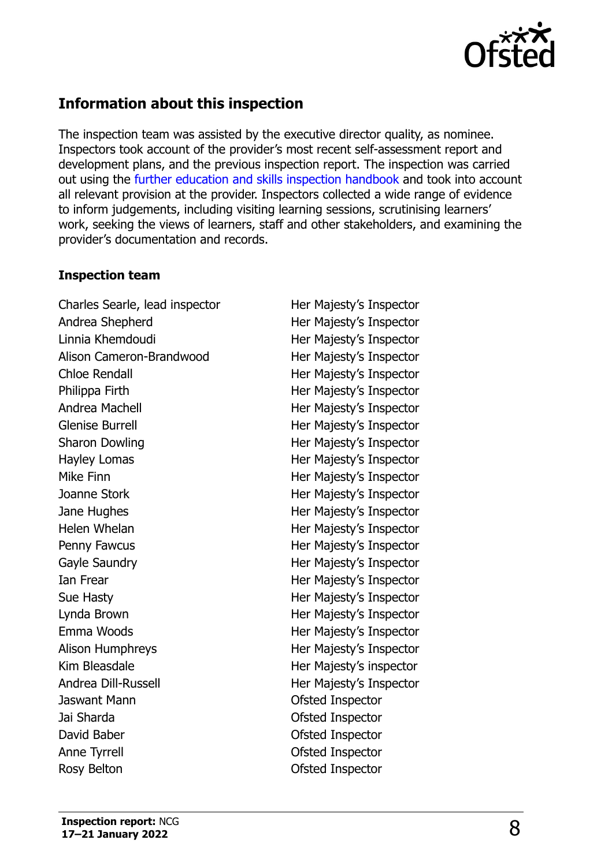

## **Information about this inspection**

The inspection team was assisted by the executive director quality, as nominee. Inspectors took account of the provider's most recent self-assessment report and development plans, and the previous inspection report. The inspection was carried out using the [further education and skills inspection handbook](http://www.gov.uk/government/publications/further-education-and-skills-inspection-handbook-eif) and took into account all relevant provision at the provider. Inspectors collected a wide range of evidence to inform judgements, including visiting learning sessions, scrutinising learners' work, seeking the views of learners, staff and other stakeholders, and examining the provider's documentation and records.

#### **Inspection team**

Charles Searle, lead inspector Andrea Shepherd Linnia Khemdoudi Alison Cameron-Brandwood Chloe Rendall Philippa Firth Andrea Machell Glenise Burrell Sharon Dowling Hayley Lomas Mike Finn Joanne Stork Jane Hughes Helen Whelan Penny Fawcus Gayle Saundry Ian Frear Sue Hasty Lynda Brown Emma Woods Alison Humphreys Kim Bleasdale Andrea Dill-Russell Jaswant Mann Jai Sharda David Baber Anne Tyrrell Rosy Belton

Her Majesty's Inspector Her Majesty's Inspector Her Majesty's Inspector Her Majesty's Inspector Her Majesty's Inspector Her Majesty's Inspector Her Majesty's Inspector Her Majesty's Inspector Her Majesty's Inspector Her Majesty's Inspector Her Majesty's Inspector Her Majesty's Inspector Her Majesty's Inspector Her Majesty's Inspector Her Majesty's Inspector Her Majesty's Inspector Her Majesty's Inspector Her Majesty's Inspector Her Majesty's Inspector Her Majesty's Inspector Her Majesty's Inspector Her Majesty's inspector Her Majesty's Inspector Ofsted Inspector Ofsted Inspector Ofsted Inspector Ofsted Inspector Ofsted Inspector